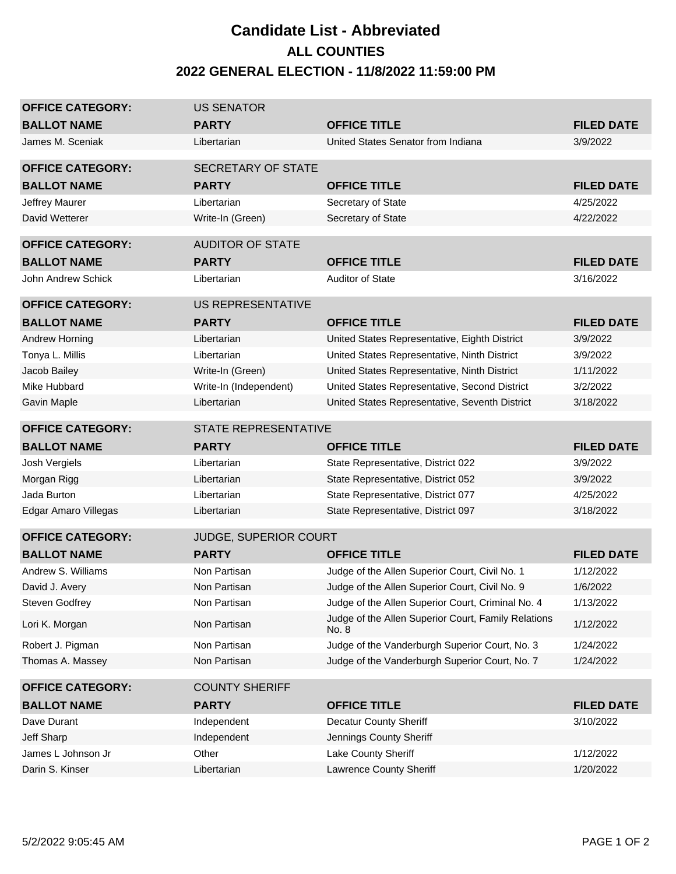## **Candidate List - Abbreviated 2022 GENERAL ELECTION - 11/8/2022 11:59:00 PM ALL COUNTIES**

| <b>OFFICE CATEGORY:</b> | <b>US SENATOR</b>           |                                                              |                   |
|-------------------------|-----------------------------|--------------------------------------------------------------|-------------------|
| <b>BALLOT NAME</b>      | <b>PARTY</b>                | <b>OFFICE TITLE</b>                                          | <b>FILED DATE</b> |
| James M. Sceniak        | Libertarian                 | United States Senator from Indiana                           | 3/9/2022          |
|                         |                             |                                                              |                   |
| <b>OFFICE CATEGORY:</b> | <b>SECRETARY OF STATE</b>   |                                                              |                   |
| <b>BALLOT NAME</b>      | <b>PARTY</b>                | <b>OFFICE TITLE</b>                                          | <b>FILED DATE</b> |
| Jeffrey Maurer          | Libertarian                 | Secretary of State                                           | 4/25/2022         |
| David Wetterer          | Write-In (Green)            | Secretary of State                                           | 4/22/2022         |
| <b>OFFICE CATEGORY:</b> | <b>AUDITOR OF STATE</b>     |                                                              |                   |
| <b>BALLOT NAME</b>      | <b>PARTY</b>                | <b>OFFICE TITLE</b>                                          | <b>FILED DATE</b> |
| John Andrew Schick      | Libertarian                 | <b>Auditor of State</b>                                      | 3/16/2022         |
| <b>OFFICE CATEGORY:</b> | US REPRESENTATIVE           |                                                              |                   |
| <b>BALLOT NAME</b>      | <b>PARTY</b>                | <b>OFFICE TITLE</b>                                          | <b>FILED DATE</b> |
| Andrew Horning          | Libertarian                 | United States Representative, Eighth District                | 3/9/2022          |
| Tonya L. Millis         | Libertarian                 | United States Representative, Ninth District                 | 3/9/2022          |
| Jacob Bailey            | Write-In (Green)            | United States Representative, Ninth District                 | 1/11/2022         |
| Mike Hubbard            | Write-In (Independent)      | United States Representative, Second District                | 3/2/2022          |
| Gavin Maple             | Libertarian                 | United States Representative, Seventh District               | 3/18/2022         |
| <b>OFFICE CATEGORY:</b> | <b>STATE REPRESENTATIVE</b> |                                                              |                   |
|                         |                             |                                                              |                   |
| <b>BALLOT NAME</b>      | <b>PARTY</b>                | <b>OFFICE TITLE</b>                                          | <b>FILED DATE</b> |
| Josh Vergiels           | Libertarian                 | State Representative, District 022                           | 3/9/2022          |
| Morgan Rigg             | Libertarian                 | State Representative, District 052                           | 3/9/2022          |
| Jada Burton             | Libertarian                 | State Representative, District 077                           | 4/25/2022         |
| Edgar Amaro Villegas    | Libertarian                 | State Representative, District 097                           | 3/18/2022         |
| <b>OFFICE CATEGORY:</b> | JUDGE, SUPERIOR COURT       |                                                              |                   |
| <b>BALLOT NAME</b>      | <b>PARTY</b>                | <b>OFFICE TITLE</b>                                          | <b>FILED DATE</b> |
| Andrew S. Williams      | Non Partisan                | Judge of the Allen Superior Court, Civil No. 1               | 1/12/2022         |
| David J. Avery          | Non Partisan                | Judge of the Allen Superior Court, Civil No. 9               | 1/6/2022          |
| Steven Godfrey          | Non Partisan                | Judge of the Allen Superior Court, Criminal No. 4            | 1/13/2022         |
| Lori K. Morgan          | Non Partisan                | Judge of the Allen Superior Court, Family Relations<br>No. 8 | 1/12/2022         |
| Robert J. Pigman        | Non Partisan                | Judge of the Vanderburgh Superior Court, No. 3               | 1/24/2022         |
| Thomas A. Massey        | Non Partisan                | Judge of the Vanderburgh Superior Court, No. 7               | 1/24/2022         |
| <b>OFFICE CATEGORY:</b> | <b>COUNTY SHERIFF</b>       |                                                              |                   |
| <b>BALLOT NAME</b>      | <b>PARTY</b>                | <b>OFFICE TITLE</b>                                          | <b>FILED DATE</b> |
| Dave Durant             | Independent                 | <b>Decatur County Sheriff</b>                                | 3/10/2022         |
| Jeff Sharp              | Independent                 | Jennings County Sheriff                                      |                   |
| James L Johnson Jr      | Other                       | Lake County Sheriff                                          | 1/12/2022         |